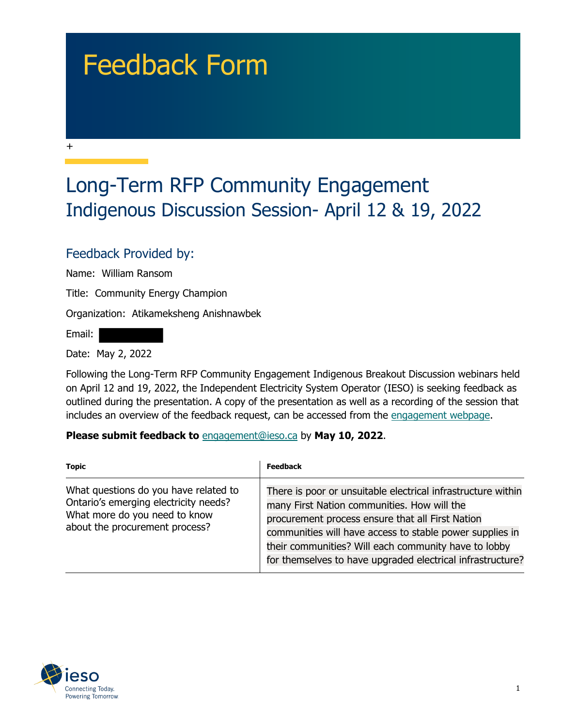## Feedback Form

## Long-Term RFP Community Engagement Indigenous Discussion Session- April 12 & 19, 2022

## Feedback Provided by:

Name: William Ransom

Title: Community Energy Champion

Organization: Atikameksheng Anishnawbek

Email:

+

Date: May 2, 2022

Following the Long-Term RFP Community Engagement Indigenous Breakout Discussion webinars held on April 12 and 19, 2022, the Independent Electricity System Operator (IESO) is seeking feedback as outlined during the presentation. A copy of the presentation as well as a recording of the session that includes an overview of the feedback request, can be accessed from the [engagement webpage.](https://www.ieso.ca/en/Sector-Participants/Engagement-Initiatives/Engagements/Long-Term-RFP-Community-Engagement)

**Please submit feedback to** engagement@ieso.ca by **May 10, 2022**.

| <b>Topic</b>                                                                                                                                      | Feedback                                                                                                                                                                                                                                                                                                                                          |
|---------------------------------------------------------------------------------------------------------------------------------------------------|---------------------------------------------------------------------------------------------------------------------------------------------------------------------------------------------------------------------------------------------------------------------------------------------------------------------------------------------------|
| What questions do you have related to<br>Ontario's emerging electricity needs?<br>What more do you need to know<br>about the procurement process? | There is poor or unsuitable electrical infrastructure within<br>many First Nation communities. How will the<br>procurement process ensure that all First Nation<br>communities will have access to stable power supplies in<br>their communities? Will each community have to lobby<br>for themselves to have upgraded electrical infrastructure? |